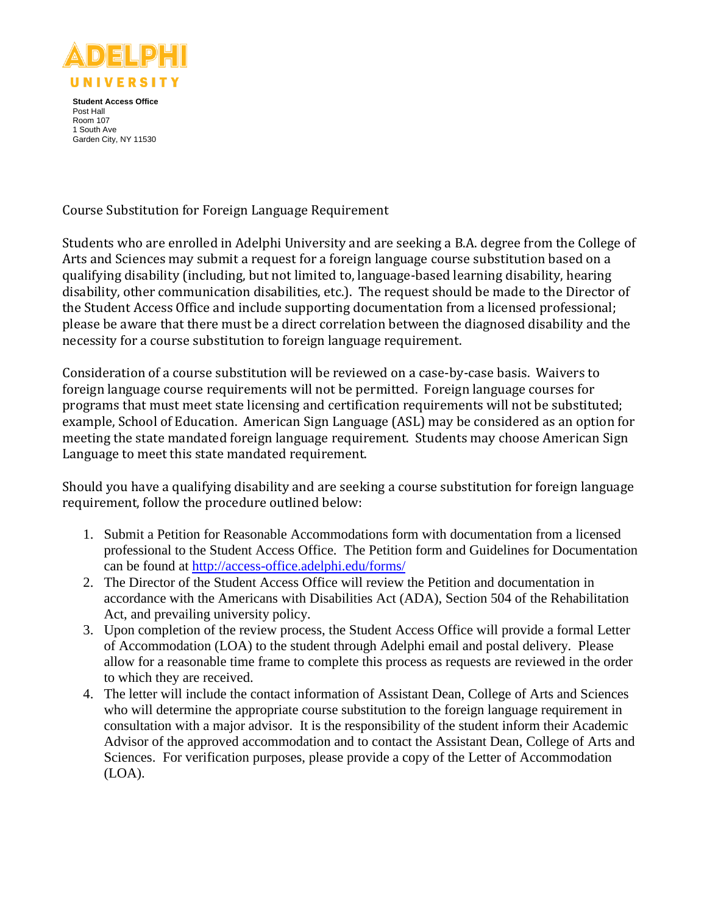

**Student Access Office** Post Hall Room 107 1 South Ave Garden City, NY 11530

Course Substitution for Foreign Language Requirement

Students who are enrolled in Adelphi University and are seeking a B.A. degree from the College of Arts and Sciences may submit a request for a foreign language course substitution based on a qualifying disability (including, but not limited to, language-based learning disability, hearing disability, other communication disabilities, etc.). The request should be made to the Director of the Student Access Office and include supporting documentation from a licensed professional; please be aware that there must be a direct correlation between the diagnosed disability and the necessity for a course substitution to foreign language requirement.

Consideration of a course substitution will be reviewed on a case-by-case basis. Waivers to foreign language course requirements will not be permitted. Foreign language courses for programs that must meet state licensing and certification requirements will not be substituted; example, School of Education. American Sign Language (ASL) may be considered as an option for meeting the state mandated foreign language requirement. Students may choose American Sign Language to meet this state mandated requirement.

Should you have a qualifying disability and are seeking a course substitution for foreign language requirement, follow the procedure outlined below:

- 1. Submit a Petition for Reasonable Accommodations form with documentation from a licensed professional to the Student Access Office. The Petition form and Guidelines for Documentation can be found at<http://access-office.adelphi.edu/forms/>
- 2. The Director of the Student Access Office will review the Petition and documentation in accordance with the Americans with Disabilities Act (ADA), Section 504 of the Rehabilitation Act, and prevailing university policy.
- 3. Upon completion of the review process, the Student Access Office will provide a formal Letter of Accommodation (LOA) to the student through Adelphi email and postal delivery. Please allow for a reasonable time frame to complete this process as requests are reviewed in the order to which they are received.
- 4. The letter will include the contact information of Assistant Dean, College of Arts and Sciences who will determine the appropriate course substitution to the foreign language requirement in consultation with a major advisor. It is the responsibility of the student inform their Academic Advisor of the approved accommodation and to contact the Assistant Dean, College of Arts and Sciences. For verification purposes, please provide a copy of the Letter of Accommodation (LOA).